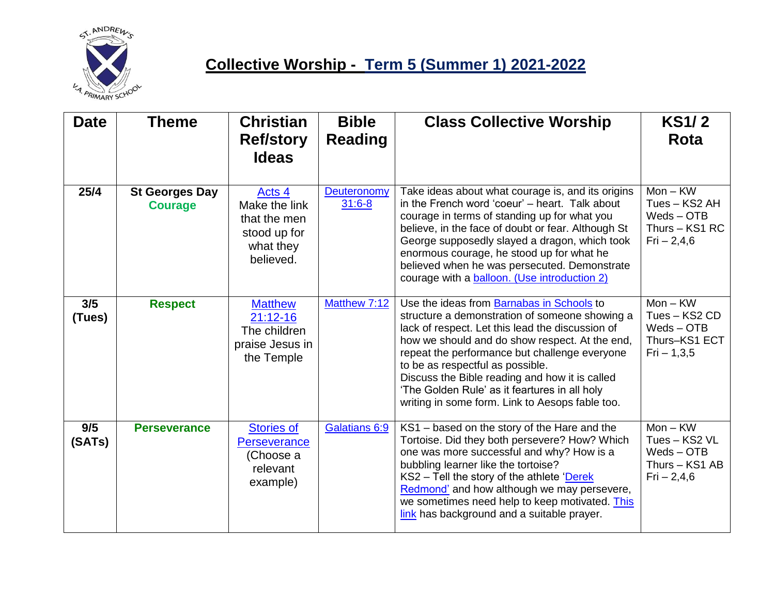

## **Collective Worship - Term 5 (Summer 1) 2021-2022**

| <b>Date</b>   | <b>Theme</b>                            | <b>Christian</b><br><b>Ref/story</b><br><b>Ideas</b>                              | <b>Bible</b><br><b>Reading</b> | <b>Class Collective Worship</b>                                                                                                                                                                                                                                                                                                                                                                                                              | <b>KS1/2</b><br>Rota                                                          |
|---------------|-----------------------------------------|-----------------------------------------------------------------------------------|--------------------------------|----------------------------------------------------------------------------------------------------------------------------------------------------------------------------------------------------------------------------------------------------------------------------------------------------------------------------------------------------------------------------------------------------------------------------------------------|-------------------------------------------------------------------------------|
| 25/4          | <b>St Georges Day</b><br><b>Courage</b> | Acts 4<br>Make the link<br>that the men<br>stood up for<br>what they<br>believed. | Deuteronomy<br>$31:6-8$        | Take ideas about what courage is, and its origins<br>in the French word 'coeur' - heart. Talk about<br>courage in terms of standing up for what you<br>believe, in the face of doubt or fear. Although St<br>George supposedly slayed a dragon, which took<br>enormous courage, he stood up for what he<br>believed when he was persecuted. Demonstrate<br>courage with a balloon. (Use introduction 2)                                      | $Mon - KW$<br>Tues - KS2 AH<br>$Weds - OTB$<br>Thurs - KS1 RC<br>$Fi - 2,4,6$ |
| 3/5<br>(Tues) | <b>Respect</b>                          | <b>Matthew</b><br>$21:12-16$<br>The children<br>praise Jesus in<br>the Temple     | Matthew 7:12                   | Use the ideas from Barnabas in Schools to<br>structure a demonstration of someone showing a<br>lack of respect. Let this lead the discussion of<br>how we should and do show respect. At the end,<br>repeat the performance but challenge everyone<br>to be as respectful as possible.<br>Discuss the Bible reading and how it is called<br>'The Golden Rule' as it feartures in all holy<br>writing in some form. Link to Aesops fable too. | $Mon - KW$<br>Tues - KS2 CD<br>$Weds - OTB$<br>Thurs-KS1 ECT<br>$Fi - 1,3,5$  |
| 9/5<br>(SATs) | <b>Perseverance</b>                     | <b>Stories of</b><br>Perseverance<br>(Choose a<br>relevant<br>example)            | Galatians 6:9                  | KS1 - based on the story of the Hare and the<br>Tortoise. Did they both persevere? How? Which<br>one was more successful and why? How is a<br>bubbling learner like the tortoise?<br>$KS2 - Tel$ the story of the athlete 'Derek<br>Redmond' and how although we may persevere,<br>we sometimes need help to keep motivated. This<br>link has background and a suitable prayer.                                                              | $Mon - KW$<br>Tues - KS2 VL<br>$Weds - OTB$<br>Thurs - KS1 AB<br>Fig. 2, 4, 6 |